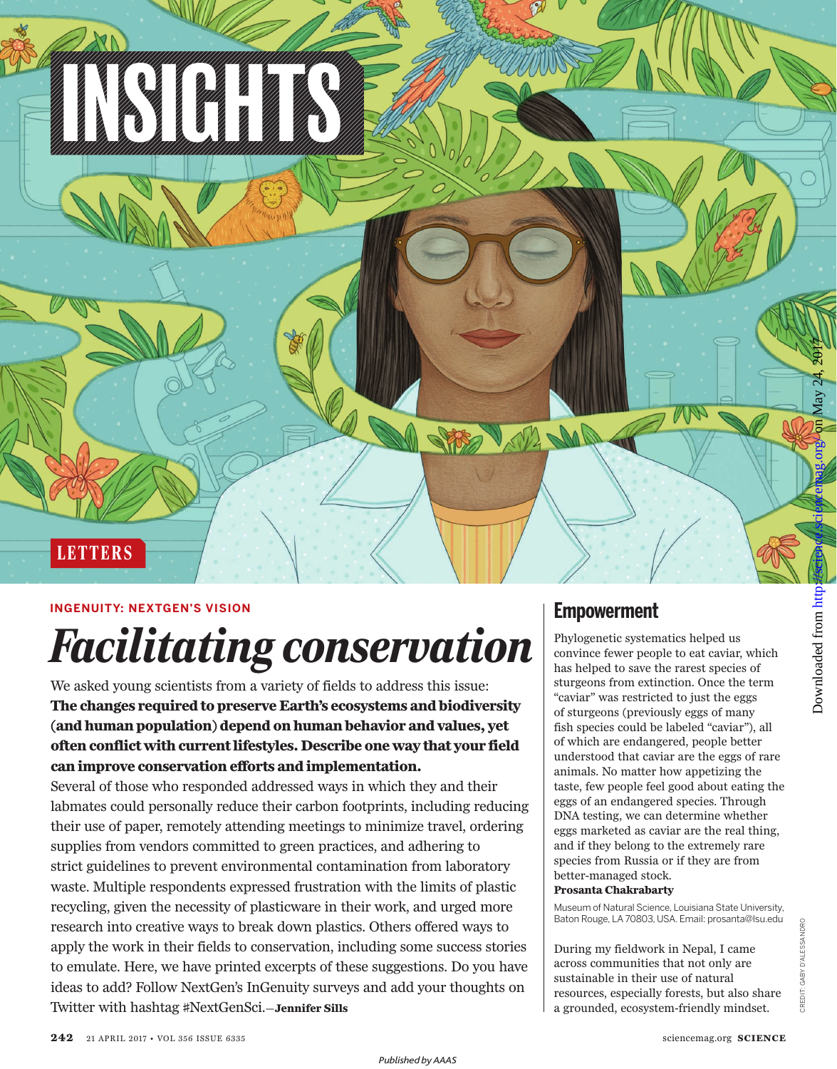

# **INGENUITY: NEXTGEN'S VISION**

# *Facilitating conservation*

We asked young scientists from a variety of fields to address this issue: **The changes required to preserve Earth's ecosystems and biodiversity (and human population) depend on human behavior and values, yet often conflict with current lifestyles. Describe one way that your field can improve conservation efforts and implementation.**

Several of those who responded addressed ways in which they and their labmates could personally reduce their carbon footprints, including reducing their use of paper, remotely attending meetings to minimize travel, ordering supplies from vendors committed to green practices, and adhering to strict guidelines to prevent environmental contamination from laboratory waste. Multiple respondents expressed frustration with the limits of plastic recycling, given the necessity of plasticware in their work, and urged more research into creative ways to break down plastics. Others offered ways to apply the work in their fields to conservation, including some success stories to emulate. Here, we have printed excerpts of these suggestions. Do you have ideas to add? Follow NextGen's InGenuity surveys and add your thoughts on Twitter with hashtag #NextGenSci.—**Jennifer Sills**

# **Empowerment**

Phylogenetic systematics helped us convince fewer people to eat caviar, which has helped to save the rarest species of sturgeons from extinction. Once the term "caviar" was restricted to just the eggs of sturgeons (previously eggs of many fish species could be labeled "caviar"), all of which are endangered, people better understood that caviar are the eggs of rare animals. No matter how appetizing the taste, few people feel good about eating the eggs of an endangered species. Through DNA testing, we can determine whether eggs marketed as caviar are the real thing, and if they belong to the extremely rare species from Russia or if they are from better-managed stock.

## **Prosanta Chakrabarty**

Museum of Natural Science, Louisiana State University, Baton Rouge, LA70803, USA. Email: prosanta@lsu.edu

During my fieldwork in Nepal, I came across communities that not only are sustainable in their use of natural resources, especially forests, but also share a grounded, ecosystem-friendly mindset.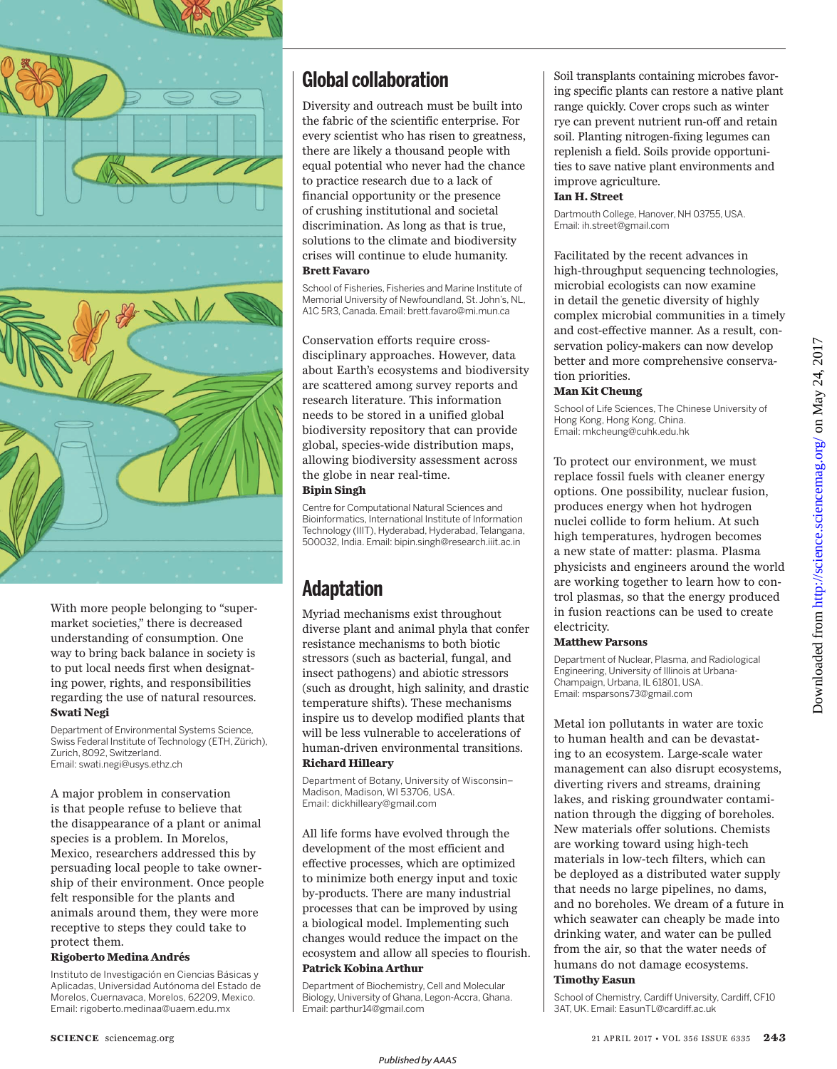

With more people belonging to "supermarket societies," there is decreased understanding of consumption. One way to bring back balance in society is to put local needs first when designating power, rights, and responsibilities regarding the use of natural resources. **Swati Negi**

Department of Environmental Systems Science, Swiss Federal Institute of Technology (ETH, Zürich), Zurich, 8092, Switzerland. Email: swati.negi@usys.ethz.ch

A major problem in conservation is that people refuse to believe that the disappearance of a plant or animal species is a problem. In Morelos, Mexico, researchers addressed this by persuading local people to take ownership of their environment. Once people felt responsible for the plants and animals around them, they were more receptive to steps they could take to protect them.

## **Rigoberto Medina Andrés**

Instituto de Investigación en Ciencias Básicas y Aplicadas, Universidad Autónoma del Estado de Morelos, Cuernavaca, Morelos, 62209, Mexico. Email: rigoberto.medinaa@uaem.edu.mx

# **Global collaboration**

Diversity and outreach must be built into the fabric of the scientific enterprise. For every scientist who has risen to greatness, there are likely a thousand people with equal potential who never had the chance to practice research due to a lack of financial opportunity or the presence of crushing institutional and societal discrimination. As long as that is true, solutions to the climate and biodiversity crises will continue to elude humanity. **Brett Favaro**

School of Fisheries, Fisheries and Marine Institute of Memorial University of Newfoundland, St. John's, NL, A1C 5R3, Canada. Email: brett.favaro@mi.mun.ca

Conservation efforts require crossdisciplinary approaches. However, data about Earth's ecosystems and biodiversity are scattered among survey reports and research literature. This information needs to be stored in a unified global biodiversity repository that can provide global, species-wide distribution maps, allowing biodiversity assessment across the globe in near real-time.

# **Bipin Singh**

Centre for Computational Natural Sciences and Bioinformatics, International Institute of Information Technology (IIIT), Hyderabad, Hyderabad, Telangana, 500032, India. Email: bipin.singh@research.iiit.ac.in

# **Adaptation**

Myriad mechanisms exist throughout diverse plant and animal phyla that confer resistance mechanisms to both biotic stressors (such as bacterial, fungal, and insect pathogens) and abiotic stressors (such as drought, high salinity, and drastic temperature shifts). These mechanisms inspire us to develop modified plants that will be less vulnerable to accelerations of human-driven environmental transitions. **Richard Hilleary**

Department of Botany, University of Wisconsin– Madison, Madison, WI 53706, USA. Email: dickhilleary@gmail.com

All life forms have evolved through the development of the most efficient and effective processes, which are optimized to minimize both energy input and toxic by-products. There are many industrial processes that can be improved by using a biological model. Implementing such changes would reduce the impact on the ecosystem and allow all species to flourish. **Patrick Kobina Arthur**

Department of Biochemistry, Cell and Molecular Biology, University of Ghana, Legon-Accra, Ghana. Email: parthur14@gmail.com

Soil transplants containing microbes favoring specific plants can restore a native plant range quickly. Cover crops such as winter rye can prevent nutrient run-off and retain soil. Planting nitrogen-fixing legumes can replenish a field. Soils provide opportunities to save native plant environments and improve agriculture.

### **Ian H. Street**

Dartmouth College, Hanover, NH 03755, USA. Email: ih.street@gmail.com

Facilitated by the recent advances in high-throughput sequencing technologies, microbial ecologists can now examine in detail the genetic diversity of highly complex microbial communities in a timely and cost-effective manner. As a result, conservation policy-makers can now develop better and more comprehensive conservation priorities.

## **Man Kit Cheung**

School of Life Sciences, The Chinese University of Hong Kong, Hong Kong, China. Email: mkcheung@cuhk.edu.hk

To protect our environment, we must replace fossil fuels with cleaner energy options. One possibility, nuclear fusion, produces energy when hot hydrogen nuclei collide to form helium. At such high temperatures, hydrogen becomes a new state of matter: plasma. Plasma physicists and engineers around the world are working together to learn how to control plasmas, so that the energy produced in fusion reactions can be used to create electricity.

# **Matthew Parsons**

Department of Nuclear, Plasma, and Radiological Engineering, University of Illinois at Urbana-Champaign, Urbana, IL 61801, USA. Email: msparsons73@gmail.com

Metal ion pollutants in water are toxic to human health and can be devastating to an ecosystem. Large-scale water management can also disrupt ecosystems, diverting rivers and streams, draining lakes, and risking groundwater contamination through the digging of boreholes. New materials offer solutions. Chemists are working toward using high-tech materials in low-tech filters, which can be deployed as a distributed water supply that needs no large pipelines, no dams, and no boreholes. We dream of a future in which seawater can cheaply be made into drinking water, and water can be pulled from the air, so that the water needs of humans do not damage ecosystems. **Timothy Easun**

#### School of Chemistry, Cardiff University, Cardiff, CF10 3AT, UK. Email: EasunTL@cardiff.ac.uk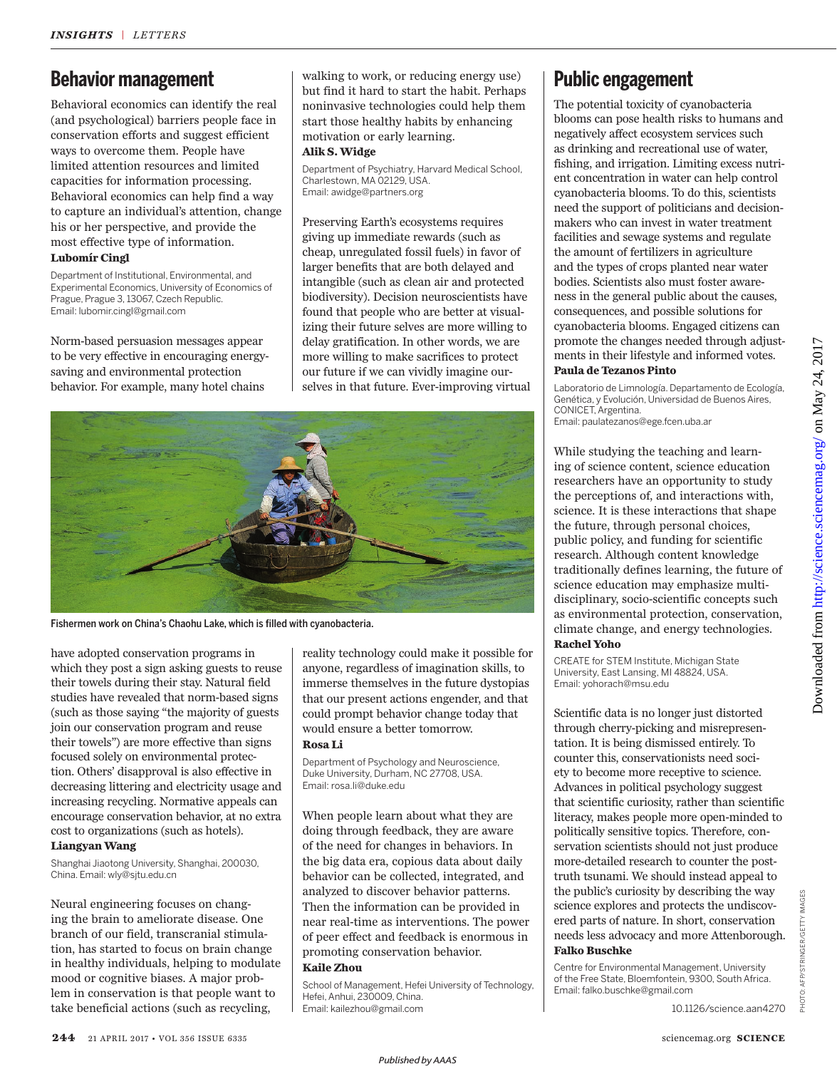# **Behavior management**

Behavioral economics can identify the real (and psychological) barriers people face in conservation efforts and suggest efficient ways to overcome them. People have limited attention resources and limited capacities for information processing. Behavioral economics can help find a way to capture an individual's attention, change his or her perspective, and provide the most effective type of information.

## **Lubomír Cingl**

Department of Institutional, Environmental, and Experimental Economics, University of Economics of Prague, Prague 3, 13067, Czech Republic. Email: lubomir.cingl@gmail.com

Norm-based persuasion messages appear to be very effective in encouraging energysaving and environmental protection behavior. For example, many hotel chains

walking to work, or reducing energy use) but find it hard to start the habit. Perhaps noninvasive technologies could help them start those healthy habits by enhancing motivation or early learning. **Alik S. Widge**

Department of Psychiatry, Harvard Medical School, Charlestown, MA 02129, USA. Email: awidge@partners.org

Preserving Earth's ecosystems requires giving up immediate rewards (such as cheap, unregulated fossil fuels) in favor of larger benefits that are both delayed and intangible (such as clean air and protected biodiversity). Decision neuroscientists have found that people who are better at visualizing their future selves are more willing to delay gratification. In other words, we are more willing to make sacrifices to protect our future if we can vividly imagine ourselves in that future. Ever-improving virtual



Fishermen work on China's Chaohu Lake, which is filled with cyanobacteria.

have adopted conservation programs in which they post a sign asking guests to reuse their towels during their stay. Natural field studies have revealed that norm-based signs (such as those saying "the majority of guests join our conservation program and reuse their towels") are more effective than signs focused solely on environmental protection. Others' disapproval is also effective in decreasing littering and electricity usage and increasing recycling. Normative appeals can encourage conservation behavior, at no extra cost to organizations (such as hotels).

#### **Liangyan Wang**

Shanghai Jiaotong University, Shanghai, 200030, China. Email: wly@sjtu.edu.cn

Neural engineering focuses on changing the brain to ameliorate disease. One branch of our field, transcranial stimulation, has started to focus on brain change in healthy individuals, helping to modulate mood or cognitive biases. A major problem in conservation is that people want to take beneficial actions (such as recycling,

reality technology could make it possible for anyone, regardless of imagination skills, to immerse themselves in the future dystopias that our present actions engender, and that could prompt behavior change today that would ensure a better tomorrow.

## **Rosa Li**

Department of Psychology and Neuroscience, Duke University, Durham, NC 27708, USA. Email: rosa.li@duke.edu

When people learn about what they are doing through feedback, they are aware of the need for changes in behaviors. In the big data era, copious data about daily behavior can be collected, integrated, and analyzed to discover behavior patterns. Then the information can be provided in near real-time as interventions. The power of peer effect and feedback is enormous in promoting conservation behavior.

### **Kaile Zhou**

School of Management, Hefei University of Technology, Hefei, Anhui, 230009, China. Email: kailezhou@gmail.com

# **Public engagement**

The potential toxicity of cyanobacteria blooms can pose health risks to humans and negatively affect ecosystem services such as drinking and recreational use of water, fishing, and irrigation. Limiting excess nutrient concentration in water can help control cyanobacteria blooms. To do this, scientists need the support of politicians and decisionmakers who can invest in water treatment facilities and sewage systems and regulate the amount of fertilizers in agriculture and the types of crops planted near water bodies. Scientists also must foster awareness in the general public about the causes, consequences, and possible solutions for cyanobacteria blooms. Engaged citizens can promote the changes needed through adjustments in their lifestyle and informed votes. **Paula de Tezanos Pinto**

Laboratorio de Limnología. Departamento de Ecología, Genética, y Evolución, Universidad de Buenos Aires, CONICET, Argentina. Email: paulatezanos@ege.fcen.uba.ar

While studying the teaching and learning of science content, science education researchers have an opportunity to study the perceptions of, and interactions with, science. It is these interactions that shape the future, through personal choices, public policy, and funding for scientific research. Although content knowledge traditionally defines learning, the future of science education may emphasize multidisciplinary, socio-scientific concepts such as environmental protection, conservation, climate change, and energy technologies. **Rachel Yoho**

CREATE for STEM Institute, Michigan State University, East Lansing, MI 48824, USA. Email: yohorach@msu.edu

Scientific data is no longer just distorted through cherry-picking and misrepresentation. It is being dismissed entirely. To counter this, conservationists need society to become more receptive to science. Advances in political psychology suggest that scientific curiosity, rather than scientific literacy, makes people more open-minded to politically sensitive topics. Therefore, conservation scientists should not just produce more-detailed research to counter the posttruth tsunami. We should instead appeal to the public's curiosity by describing the way science explores and protects the undiscovered parts of nature. In short, conservation needs less advocacy and more Attenborough. **Falko Buschke**

<http://science.sciencemag.org/> on May 24, 2017

Downloaded from http://science.sciencemag.org/ on May 24, 2017

Downloaded from

Centre for Environmental Management, University of the Free State, Bloemfontein, 9300, South Africa. Email: falko.buschke@gmail.com

10.1126/science.aan4270